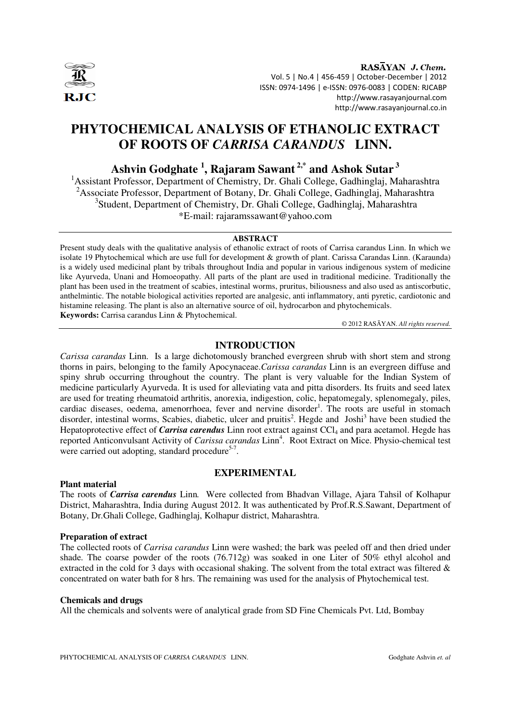

RASAYAN J. Chem. Vol. 5 | No.4 | 456-459 | October-December | 2012 ISSN: 0974-1496 | e-ISSN: 0976-0083 | CODEN: RJCABP http://www.rasayanjournal.com http://www.rasayanjournal.co.in

# **PHYTOCHEMICAL ANALYSIS OF ETHANOLIC EXTRACT OF ROOTS OF** *CARRISA CARANDUS* **LINN.**

## **Ashvin Godghate <sup>1</sup> , Rajaram Sawant 2,\* and Ashok Sutar<sup>3</sup>**

<sup>1</sup> Assistant Professor, Department of Chemistry, Dr. Ghali College, Gadhinglaj, Maharashtra <sup>2</sup>Associate Professor, Department of Botany, Dr. Ghali College, Gadhinglaj, Maharashtra <sup>3</sup>Student, Department of Chemistry, Dr. Ghali College, Gadhinglaj, Maharashtra \*E-mail: rajaramssawant@yahoo.com

#### **ABSTRACT**

Present study deals with the qualitative analysis of ethanolic extract of roots of Carrisa carandus Linn. In which we isolate 19 Phytochemical which are use full for development & growth of plant. Carissa Carandas Linn. (Karaunda) is a widely used medicinal plant by tribals throughout India and popular in various indigenous system of medicine like Ayurveda, Unani and Homoeopathy. All parts of the plant are used in traditional medicine. Traditionally the plant has been used in the treatment of scabies, intestinal worms, pruritus, biliousness and also used as antiscorbutic, anthelmintic. The notable biological activities reported are analgesic, anti inflammatory, anti pyretic, cardiotonic and histamine releasing. The plant is also an alternative source of oil, hydrocarbon and phytochemicals. **Keywords:** Carrisa carandus Linn & Phytochemical.

© 2012 RASĀYAN. *All rights reserved.*

## **INTRODUCTION**

*Carissa carandas* Linn. Is a large dichotomously branched evergreen shrub with short stem and strong thorns in pairs, belonging to the family Apocynaceae.*Carissa carandas* Linn is an evergreen diffuse and spiny shrub occurring throughout the country. The plant is very valuable for the Indian System of medicine particularly Ayurveda. It is used for alleviating vata and pitta disorders. Its fruits and seed latex are used for treating rheumatoid arthritis, anorexia, indigestion, colic, hepatomegaly, splenomegaly, piles, cardiac diseases, oedema, amenorrhoea, fever and nervine disorder<sup>1</sup>. The roots are useful in stomach disorder, intestinal worms, Scabies, diabetic, ulcer and pruitis<sup>2</sup>. Hegde and Joshi<sup>3</sup> have been studied the Hepatoprotective effect of *Carrisa carendus* Linn root extract against CCl<sub>4</sub> and para acetamol. Hegde has reported Anticonvulsant Activity of *Carissa carandas* Linn<sup>4</sup>. Root Extract on Mice. Physio-chemical test were carried out adopting, standard procedure<sup>5-7</sup>.

## **EXPERIMENTAL**

#### **Plant material**

The roots of *Carrisa carendus* Linn*.* Were collected from Bhadvan Village, Ajara Tahsil of Kolhapur District, Maharashtra, India during August 2012. It was authenticated by Prof.R.S.Sawant, Department of Botany, Dr.Ghali College, Gadhinglaj, Kolhapur district, Maharashtra.

#### **Preparation of extract**

The collected roots of *Carrisa carandus* Linn were washed; the bark was peeled off and then dried under shade. The coarse powder of the roots (76.712g) was soaked in one Liter of 50% ethyl alcohol and extracted in the cold for 3 days with occasional shaking. The solvent from the total extract was filtered & concentrated on water bath for 8 hrs. The remaining was used for the analysis of Phytochemical test.

#### **Chemicals and drugs**

All the chemicals and solvents were of analytical grade from SD Fine Chemicals Pvt. Ltd, Bombay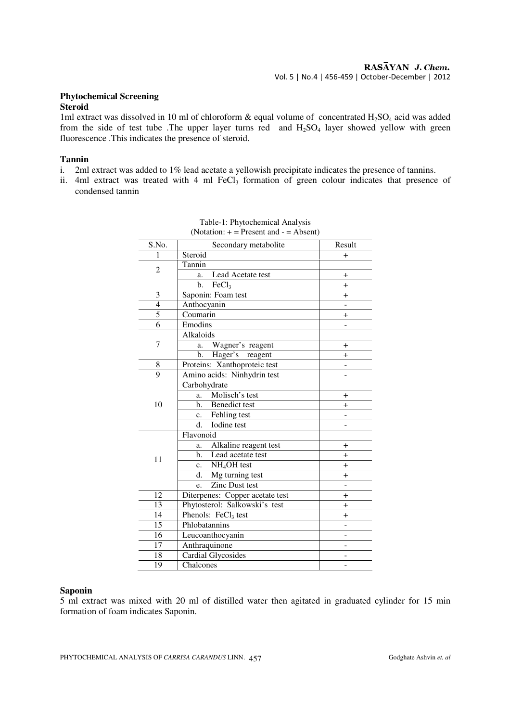## **Phytochemical Screening**

## **Steroid**

1ml extract was dissolved in 10 ml of chloroform  $\&$  equal volume of concentrated H<sub>2</sub>SO<sub>4</sub> acid was added from the side of test tube .The upper layer turns red and  $H_2SO_4$  layer showed yellow with green fluorescence .This indicates the presence of steroid.

## **Tannin**

- i. 2ml extract was added to 1% lead acetate a yellowish precipitate indicates the presence of tannins.
- ii. 4ml extract was treated with 4 ml  $FeCl<sub>3</sub>$  formation of green colour indicates that presence of condensed tannin

| Secondary metabolite                | Result                                                                                                        |
|-------------------------------------|---------------------------------------------------------------------------------------------------------------|
|                                     | $\pm$                                                                                                         |
|                                     |                                                                                                               |
| a.                                  | $\ddot{}$                                                                                                     |
| $\mathbf{b}$ .<br>FeCl3             | $^{+}$                                                                                                        |
| Saponin: Foam test                  | $^{+}$                                                                                                        |
| Anthocyanin                         |                                                                                                               |
| Coumarin                            | $^{+}$                                                                                                        |
| Emodins                             |                                                                                                               |
| Alkaloids                           |                                                                                                               |
| Wagner's reagent<br>a.              | $^{+}$                                                                                                        |
| b.                                  | $^{+}$                                                                                                        |
| Proteins: Xanthoproteic test        |                                                                                                               |
| Amino acids: Ninhydrin test         |                                                                                                               |
|                                     |                                                                                                               |
| Molisch's test<br>a.                | $^{+}$                                                                                                        |
| <b>Benedict test</b><br>b.          | $^{+}$                                                                                                        |
| Fehling test<br>c.                  |                                                                                                               |
| $\overline{d}$ .<br>Iodine test     | L.                                                                                                            |
| Flavonoid                           |                                                                                                               |
| Alkaline reagent test<br>a.         | $^{+}$                                                                                                        |
| Lead acetate test<br>$\mathbf{b}$ . | $^{+}$                                                                                                        |
| NH <sub>4</sub> OH test<br>c.       | $^{+}$                                                                                                        |
| d.                                  | $^{+}$                                                                                                        |
| Zinc Dust test<br>e.                |                                                                                                               |
| Diterpenes: Copper acetate test     | $+$                                                                                                           |
| Phytosterol: Salkowski's test       | $+$                                                                                                           |
| Phenols: FeCl <sub>3</sub> test     | $^{+}$                                                                                                        |
| Phlobatannins                       |                                                                                                               |
| Leucoanthocyanin                    |                                                                                                               |
|                                     |                                                                                                               |
| <b>Cardial Glycosides</b>           |                                                                                                               |
| Chalcones                           |                                                                                                               |
|                                     | Steroid<br>Tannin<br>Lead Acetate test<br>Hager's reagent<br>Carbohydrate<br>Mg turning test<br>Anthraquinone |

| Table-1: Phytochemical Analysis            |  |
|--------------------------------------------|--|
| (Notation: $+$ = Present and $-$ = Absent) |  |

#### **Saponin**

5 ml extract was mixed with 20 ml of distilled water then agitated in graduated cylinder for 15 min formation of foam indicates Saponin.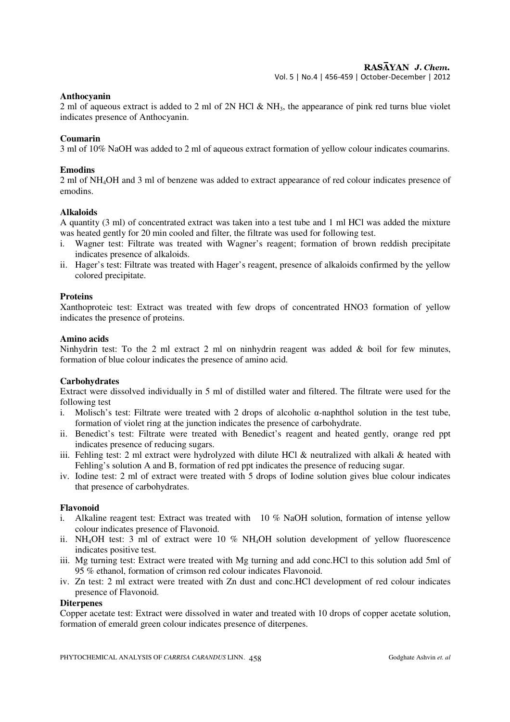Vol. 5 | No.4 | 456-459 | October-December | 2012

#### **Anthocyanin**

2 ml of aqueous extract is added to 2 ml of 2N HCl  $\&$  NH<sub>3</sub>, the appearance of pink red turns blue violet indicates presence of Anthocyanin.

### **Coumarin**

3 ml of 10% NaOH was added to 2 ml of aqueous extract formation of yellow colour indicates coumarins.

### **Emodins**

2 ml of NH4OH and 3 ml of benzene was added to extract appearance of red colour indicates presence of emodins.

### **Alkaloids**

A quantity (3 ml) of concentrated extract was taken into a test tube and 1 ml HCl was added the mixture was heated gently for 20 min cooled and filter, the filtrate was used for following test.

- i. Wagner test: Filtrate was treated with Wagner's reagent; formation of brown reddish precipitate indicates presence of alkaloids.
- ii. Hager's test: Filtrate was treated with Hager's reagent, presence of alkaloids confirmed by the yellow colored precipitate.

### **Proteins**

Xanthoproteic test: Extract was treated with few drops of concentrated HNO3 formation of yellow indicates the presence of proteins.

### **Amino acids**

Ninhydrin test: To the 2 ml extract 2 ml on ninhydrin reagent was added  $\&$  boil for few minutes, formation of blue colour indicates the presence of amino acid.

#### **Carbohydrates**

Extract were dissolved individually in 5 ml of distilled water and filtered. The filtrate were used for the following test

- i. Molisch's test: Filtrate were treated with 2 drops of alcoholic α-naphthol solution in the test tube, formation of violet ring at the junction indicates the presence of carbohydrate.
- ii. Benedict's test: Filtrate were treated with Benedict's reagent and heated gently, orange red ppt indicates presence of reducing sugars.
- iii. Fehling test: 2 ml extract were hydrolyzed with dilute HCl & neutralized with alkali & heated with Fehling's solution A and B, formation of red ppt indicates the presence of reducing sugar.
- iv. Iodine test: 2 ml of extract were treated with 5 drops of Iodine solution gives blue colour indicates that presence of carbohydrates.

#### **Flavonoid**

- i. Alkaline reagent test: Extract was treated with 10 % NaOH solution, formation of intense yellow colour indicates presence of Flavonoid.
- ii. NH4OH test: 3 ml of extract were 10 % NH4OH solution development of yellow fluorescence indicates positive test.
- iii. Mg turning test: Extract were treated with Mg turning and add conc.HCl to this solution add 5ml of 95 % ethanol, formation of crimson red colour indicates Flavonoid.
- iv. Zn test: 2 ml extract were treated with Zn dust and conc.HCl development of red colour indicates presence of Flavonoid.

#### **Diterpenes**

Copper acetate test: Extract were dissolved in water and treated with 10 drops of copper acetate solution, formation of emerald green colour indicates presence of diterpenes.